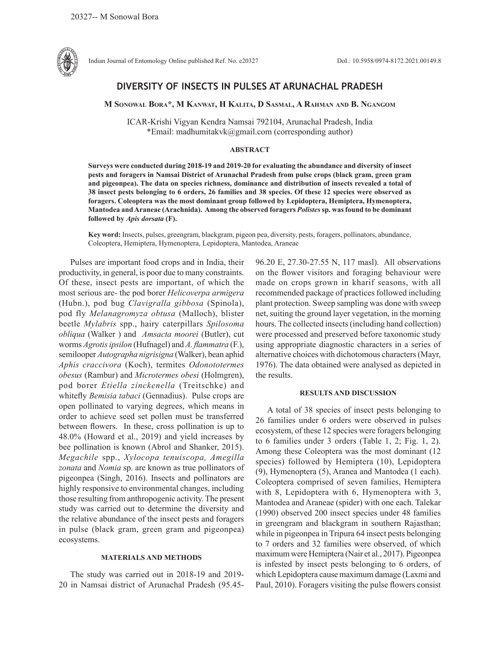

Indian Journal of Entomology Online published Ref. No. e20327 DoI.: 10.5958/0974-8172.2021.00149.8

# **DIVERSITY OF INSECTS IN PULSES AT ARUNACHAL PRADESH**

**M Sonowal Bora\*, M Kanwat, H Kalita, D Sasmal, A Rahman and B. Ngangom**

ICAR-Krishi Vigyan Kendra Namsai 792104, Arunachal Pradesh, India \*Email: madhumitakvk@gmail.com (corresponding author)

# **ABSTRACT**

**Surveys were conducted during 2018-19 and 2019-20 for evaluating the abundance and diversity of insect pests and foragers in Namsai District of Arunachal Pradesh from pulse crops (black gram, green gram and pigeonpea). The data on species richness, dominance and distribution of insects revealed a total of 38 insect pests belonging to 6 orders, 26 families and 38 species. Of these 12 species were observed as foragers. Coleoptera was the most dominant group followed by Lepidoptera, Hemiptera, Hymenoptera, Mantodea and Araneae (Arachnida). Among the observed foragers** *Polistes* **sp. was found to be dominant followed by** *Apis dorsata* **(F).**

**Key word:** Insects, pulses, greengram, blackgram, pigeon pea, diversity, pests, foragers, pollinators, abundance, Coleoptera, Hemiptera, Hymenoptera, Lepidoptera, Mantodea, Araneae

Pulses are important food crops and in India, their productivity, in general, is poor due to many constraints. Of these, insect pests are important, of which the most serious are- the pod borer *Helicoverpa armigera*  (Hubn.), pod bug *Clavigralla gibbosa* (Spinola), pod fly *Melanagromyza obtusa* (Malloch), blister beetle *Mylabris* spp., hairy caterpillars *Spilosoma obliqua* (Walker ) and *Amsacta moorei* (Butler), cut worms *Agrotis ipsilon* (Hufnagel) and *A. flammatra* (F.), semilooper *Autographa nigrisigna* (Walker), bean aphid *Aphis craccivora* (Koch), termites *Odonototermes obesus* (Rambur) and *Microtermes obesi* (Holmgren), pod borer *Etiella zinckenella* (Treitschke) and whitefly *Bemisia tabaci* (Gennadius). Pulse crops are open pollinated to varying degrees, which means in order to achieve seed set pollen must be transferred between flowers. In these, cross pollination is up to 48.0% (Howard et al., 2019) and yield increases by bee pollination is known (Abrol and Shanker, 2015). *Megachile* spp., *Xylocopa tenuiscopa, Amegilla zonata* and *Nomia* sp. are known as true pollinators of pigeonpea (Singh, 2016). Insects and pollinators are highly responsive to environmental changes, including those resulting from anthropogenic activity. The present study was carried out to determine the diversity and the relative abundance of the insect pests and foragers in pulse (black gram, green gram and pigeonpea) ecosystems.

# **MATERIALS AND METHODS**

The study was carried out in 2018-19 and 2019- 20 in Namsai district of Arunachal Pradesh (95.4596.20 E, 27.30-27.55 N, 117 masl). All observations on the flower visitors and foraging behaviour were made on crops grown in kharif seasons, with all recommended package of practices followed including plant protection. Sweep sampling was done with sweep net, suiting the ground layer vegetation, in the morning hours. The collected insects (including hand collection) were processed and preserved before taxonomic study using appropriate diagnostic characters in a series of alternative choices with dichotomous characters (Mayr, 1976). The data obtained were analysed as depicted in the results.

# **RESULTS AND DISCUSSION**

A total of 38 species of insect pests belonging to 26 families under 6 orders were observed in pulses ecosystem, of these 12 species were foragers belonging to 6 families under 3 orders (Table 1, 2; Fig. 1, 2). Among these Coleoptera was the most dominant (12 species) followed by Hemiptera (10), Lepidoptera (9), Hymenoptera (5), Aranea and Mantodea (1 each). Coleoptera comprised of seven families, Hemiptera with 8, Lepidoptera with 6, Hymenoptera with 3, Mantodea and Araneae (spider) with one each. Talekar (1990) observed 200 insect species under 48 families in greengram and blackgram in southern Rajasthan; while in pigeonpea in Tripura 64 insect pests belonging to 7 orders and 32 families were observed, of which maximum were Hemiptera (Nair et al., 2017). Pigeonpea is infested by insect pests belonging to 6 orders, of which Lepidoptera cause maximum damage (Laxmi and Paul, 2010). Foragers visiting the pulse flowers consist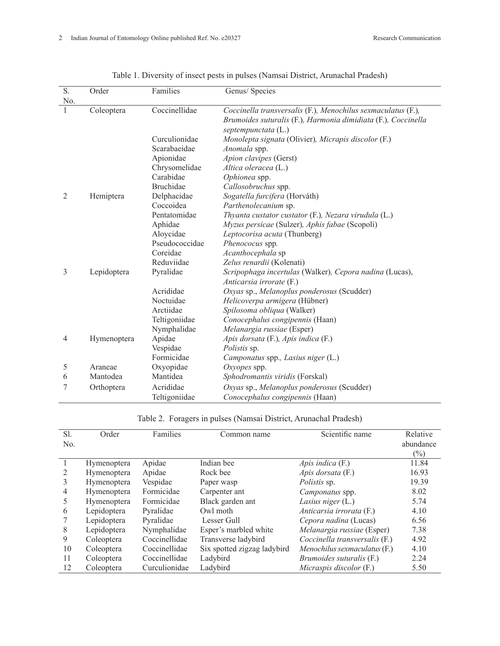| S.             | Order       | Families       | Genus/ Species                                                |
|----------------|-------------|----------------|---------------------------------------------------------------|
| No.            |             |                |                                                               |
|                | Coleoptera  | Coccinellidae  | Coccinella transversalis (F.), Menochilus sexmaculatus (F.),  |
|                |             |                | Brumoides suturalis (F.), Harmonia dimidiata (F.), Coccinella |
|                |             |                | septempunctata (L.)                                           |
|                |             | Curculionidae  | Monolepta signata (Olivier), Micrapis discolor (F.)           |
|                |             | Scarabaeidae   | Anomala spp.                                                  |
|                |             | Apionidae      | Apion clavipes (Gerst)                                        |
|                |             | Chrysomelidae  | Altica oleracea (L.)                                          |
|                |             | Carabidae      | Ophionea spp.                                                 |
|                |             | Bruchidae      | Callosobruchus spp.                                           |
| $\overline{2}$ | Hemiptera   | Delphacidae    | Sogatella furcifera (Horváth)                                 |
|                |             | Coccoidea      | Parthenolecanium sp.                                          |
|                |             | Pentatomidae   | Thyanta custator custator (F.), Nezara virudula (L.)          |
|                |             | Aphidae        | Myzus persicae (Sulzer), Aphis fabae (Scopoli)                |
|                |             | Aloycidae      | Leptocorisa acuta (Thunberg)                                  |
|                |             | Pseudococcidae | Phenococus spp.                                               |
|                |             | Coreidae       | Acanthocephala sp                                             |
|                |             | Reduviidae     | Zelus renardii (Kolenati)                                     |
| 3              | Lepidoptera | Pyralidae      | Scripophaga incertulas (Walker), Cepora nadina (Lucas),       |
|                |             |                | Anticarsia irrorate (F.)                                      |
|                |             | Acrididae      | Oxyas sp., Melanoplus ponderosus (Scudder)                    |
|                |             | Noctuidae      | Helicoverpa armigera (Hübner)                                 |
|                |             | Arctiidae      | Spilosoma obliqua (Walker)                                    |
|                |             | Teltigoniidae  | Conocephalus congipennis (Haan)                               |
|                |             | Nymphalidae    | Melanargia russiae (Esper)                                    |
| 4              | Hymenoptera | Apidae         | Apis dorsata (F.), Apis indica (F.)                           |
|                |             | Vespidae       | <i>Polistis</i> sp.                                           |
|                |             | Formicidae     | Camponatus spp., Lasius niger (L.)                            |
| 5              | Araneae     | Oxyopidae      | Oxyopes spp.                                                  |
| 6              | Mantodea    | Mantidea       | Sphodromantis viridis (Forskal)                               |
| 7              | Orthoptera  | Acrididae      | Oxyas sp., Melanoplus ponderosus (Scudder)                    |
|                |             | Teltigoniidae  | Conocephalus congipennis (Haan)                               |

|  |  | Table 1. Diversity of insect pests in pulses (Namsai District, Arunachal Pradesh) |  |
|--|--|-----------------------------------------------------------------------------------|--|
|--|--|-----------------------------------------------------------------------------------|--|

Table 2. Foragers in pulses (Namsai District, Arunachal Pradesh)

| Sl. | Order              | Families      | Common name                 | Scientific name               | Relative  |
|-----|--------------------|---------------|-----------------------------|-------------------------------|-----------|
| No. |                    |               |                             |                               | abundance |
|     |                    |               |                             |                               | $(\%)$    |
|     | <b>Hymenoptera</b> | Apidae        | Indian bee                  | Apis indica $(F)$             | 11.84     |
| 2   | Hymenoptera        | Apidae        | Rock bee                    | Apis dorsata (F.)             | 16.93     |
| 3   | Hymenoptera        | Vespidae      | Paper wasp                  | Polistis sp.                  | 19.39     |
| 4   | Hymenoptera        | Formicidae    | Carpenter ant               | Camponatus spp.               | 8.02      |
| 5   | Hymenoptera        | Formicidae    | Black garden ant            | Lasius niger $(L.)$           | 5.74      |
| 6   | Lepidoptera        | Pyralidae     | Owl moth                    | Anticarsia irrorata (F.)      | 4.10      |
|     | Lepidoptera        | Pyralidae     | Lesser Gull                 | Cepora nadina (Lucas)         | 6.56      |
| 8   | Lepidoptera        | Nymphalidae   | Esper's marbled white       | Melanargia russiae (Esper)    | 7.38      |
| 9   | Coleoptera         | Coccinellidae | Transverse ladybird         | Coccinella transversalis (F.) | 4.92      |
| 10  | Coleoptera         | Coccinellidae | Six spotted zigzag ladybird | Menochilus sexmaculatus (F.)  | 4.10      |
| 11  | Coleoptera         | Coccinellidae | Ladybird                    | Brumoides suturalis (F.)      | 2.24      |
| 12  | Coleoptera         | Curculionidae | Ladybird                    | Micraspis discolor (F.)       | 5.50      |